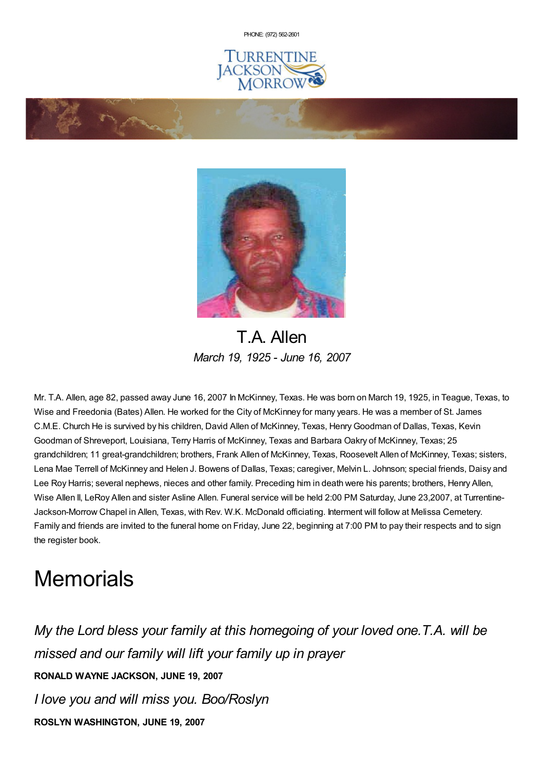PHONE: (972) [562-2601](tel:(972) 562-2601)







T.A. Allen *March 19, 1925 - June 16, 2007*

Mr. T.A. Allen, age 82, passed away June 16, 2007 In McKinney, Texas. He was born on March 19, 1925, in Teague, Texas, to Wise and Freedonia (Bates) Allen. He worked for the City of McKinney for many years. He was a member of St. James C.M.E. Church He is survived by his children, David Allen of McKinney, Texas, HenryGoodman of Dallas, Texas, Kevin Goodman of Shreveport, Louisiana, Terry Harris of McKinney, Texas and Barbara Oakry of McKinney, Texas; 25 grandchildren; 11 great-grandchildren; brothers, Frank Allen of McKinney, Texas, Roosevelt Allen of McKinney, Texas; sisters, Lena Mae Terrell of McKinney and Helen J. Bowens of Dallas, Texas; caregiver, Melvin L. Johnson; special friends, Daisy and Lee Roy Harris; several nephews, nieces and other family. Preceding him in death were his parents; brothers, Henry Allen, Wise Allen II, LeRoy Allen and sister Asline Allen. Funeral service will be held 2:00 PM Saturday, June 23,2007, at Turrentine-Jackson-Morrow Chapel in Allen, Texas, with Rev. W.K. McDonald officiating. Interment will follow at Melissa Cemetery. Family and friends are invited to the funeral home on Friday, June 22, beginning at 7:00 PM to pay their respects and to sign the register book.

## **Memorials**

*My the Lord bless your family at this homegoing of your loved one.T.A. will be missed and our family will lift your family up in prayer* **RONALD WAYNE JACKSON, JUNE 19, 2007** *I love you and will miss you. Boo/Roslyn* **ROSLYN WASHINGTON, JUNE 19, 2007**